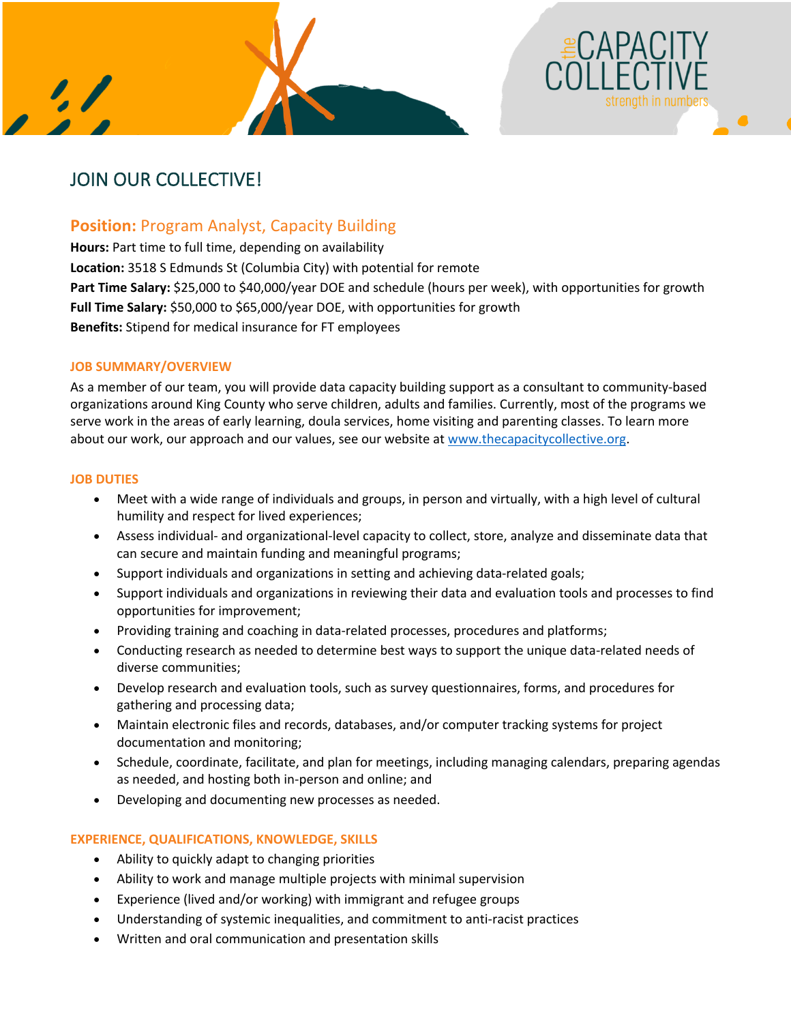



# **Position:** Program Analyst, Capacity Building

**Hours:** Part time to full time, depending on availability **Location:** 3518 S Edmunds St (Columbia City) with potential for remote Part Time Salary: \$25,000 to \$40,000/year DOE and schedule (hours per week), with opportunities for growth **Full Time Salary:** \$50,000 to \$65,000/year DOE, with opportunities for growth **Benefits:** Stipend for medical insurance for FT employees

# **JOB SUMMARY/OVERVIEW**

As a member of our team, you will provide data capacity building support as a consultant to community-based organizations around King County who serve children, adults and families. Currently, most of the programs we serve work in the areas of early learning, doula services, home visiting and parenting classes. To learn more about our work, our approach and our values, see our website at www.thecapacitycollective.org.

# **JOB DUTIES**

- Meet with a wide range of individuals and groups, in person and virtually, with a high level of cultural humility and respect for lived experiences;
- Assess individual- and organizational-level capacity to collect, store, analyze and disseminate data that can secure and maintain funding and meaningful programs;
- Support individuals and organizations in setting and achieving data-related goals;
- Support individuals and organizations in reviewing their data and evaluation tools and processes to find opportunities for improvement;
- Providing training and coaching in data-related processes, procedures and platforms;
- Conducting research as needed to determine best ways to support the unique data-related needs of diverse communities;
- Develop research and evaluation tools, such as survey questionnaires, forms, and procedures for gathering and processing data;
- Maintain electronic files and records, databases, and/or computer tracking systems for project documentation and monitoring;
- Schedule, coordinate, facilitate, and plan for meetings, including managing calendars, preparing agendas as needed, and hosting both in-person and online; and
- Developing and documenting new processes as needed.

## **EXPERIENCE, QUALIFICATIONS, KNOWLEDGE, SKILLS**

- Ability to quickly adapt to changing priorities
- Ability to work and manage multiple projects with minimal supervision
- Experience (lived and/or working) with immigrant and refugee groups
- Understanding of systemic inequalities, and commitment to anti-racist practices
- Written and oral communication and presentation skills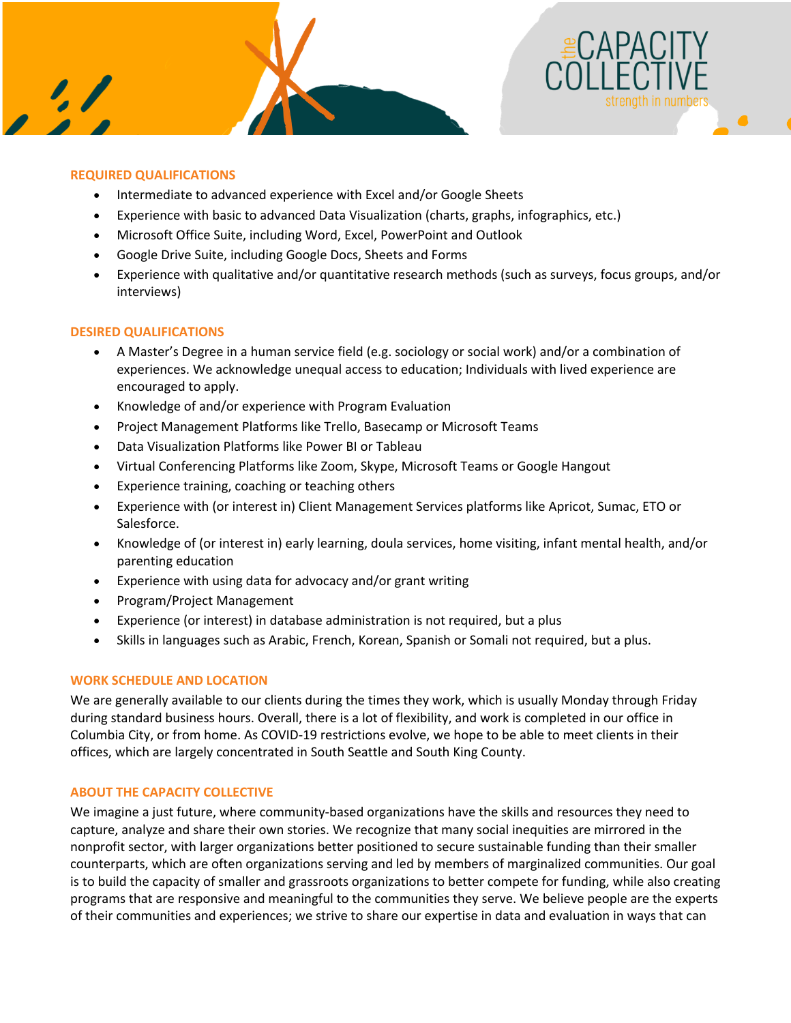



# **REQUIRED QUALIFICATIONS**

- Intermediate to advanced experience with Excel and/or Google Sheets
- Experience with basic to advanced Data Visualization (charts, graphs, infographics, etc.)
- Microsoft Office Suite, including Word, Excel, PowerPoint and Outlook
- Google Drive Suite, including Google Docs, Sheets and Forms
- Experience with qualitative and/or quantitative research methods (such as surveys, focus groups, and/or interviews)

## **DESIRED QUALIFICATIONS**

- A Master's Degree in a human service field (e.g. sociology or social work) and/or a combination of experiences. We acknowledge unequal access to education; Individuals with lived experience are encouraged to apply.
- Knowledge of and/or experience with Program Evaluation
- Project Management Platforms like Trello, Basecamp or Microsoft Teams
- Data Visualization Platforms like Power BI or Tableau
- Virtual Conferencing Platforms like Zoom, Skype, Microsoft Teams or Google Hangout
- Experience training, coaching or teaching others
- Experience with (or interest in) Client Management Services platforms like Apricot, Sumac, ETO or Salesforce.
- Knowledge of (or interest in) early learning, doula services, home visiting, infant mental health, and/or parenting education
- Experience with using data for advocacy and/or grant writing
- Program/Project Management
- Experience (or interest) in database administration is not required, but a plus
- Skills in languages such as Arabic, French, Korean, Spanish or Somali not required, but a plus.

## **WORK SCHEDULE AND LOCATION**

We are generally available to our clients during the times they work, which is usually Monday through Friday during standard business hours. Overall, there is a lot of flexibility, and work is completed in our office in Columbia City, or from home. As COVID-19 restrictions evolve, we hope to be able to meet clients in their offices, which are largely concentrated in South Seattle and South King County.

## **ABOUT THE CAPACITY COLLECTIVE**

We imagine a just future, where community-based organizations have the skills and resources they need to capture, analyze and share their own stories. We recognize that many social inequities are mirrored in the nonprofit sector, with larger organizations better positioned to secure sustainable funding than their smaller counterparts, which are often organizations serving and led by members of marginalized communities. Our goal is to build the capacity of smaller and grassroots organizations to better compete for funding, while also creating programs that are responsive and meaningful to the communities they serve. We believe people are the experts of their communities and experiences; we strive to share our expertise in data and evaluation in ways that can